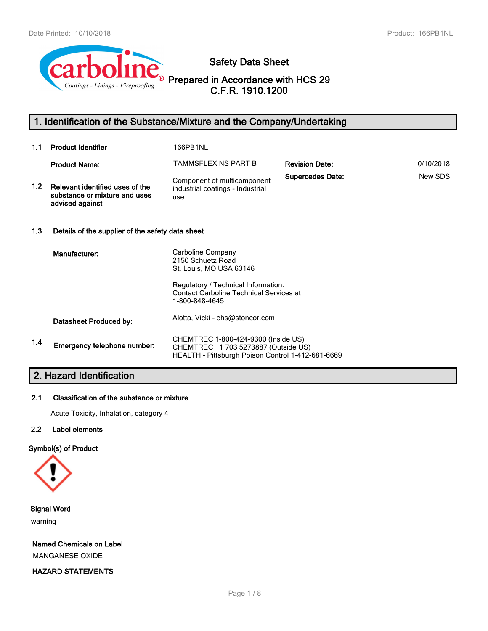

# **Safety Data Sheet**

**Prepared in Accordance with HCS 29 C.F.R. 1910.1200**

# **1. Identification of the Substance/Mixture and the Company/Undertaking**

| 1.1              | <b>Product Identifier</b>                                                           | 166PB1NL                                                                                                                                                   |                         |            |
|------------------|-------------------------------------------------------------------------------------|------------------------------------------------------------------------------------------------------------------------------------------------------------|-------------------------|------------|
|                  | <b>Product Name:</b>                                                                | TAMMSFLEX NS PART B                                                                                                                                        | <b>Revision Date:</b>   | 10/10/2018 |
| 1.2 <sub>2</sub> | Relevant identified uses of the<br>substance or mixture and uses<br>advised against | Component of multicomponent<br>industrial coatings - Industrial<br>use.                                                                                    | <b>Supercedes Date:</b> | New SDS    |
| 1.3              | Details of the supplier of the safety data sheet                                    |                                                                                                                                                            |                         |            |
|                  | Manufacturer:                                                                       | Carboline Company<br>2150 Schuetz Road<br>St. Louis, MO USA 63146<br>Regulatory / Technical Information:<br><b>Contact Carboline Technical Services at</b> |                         |            |
|                  |                                                                                     | 1-800-848-4645                                                                                                                                             |                         |            |
|                  | Datasheet Produced by:                                                              | Alotta, Vicki - ehs@stoncor.com                                                                                                                            |                         |            |
| 1.4              | Emergency telephone number:                                                         | CHEMTREC 1-800-424-9300 (Inside US)<br>CHEMTREC +1 703 5273887 (Outside US)<br>HEALTH - Pittsburgh Poison Control 1-412-681-6669                           |                         |            |

# **2. Hazard Identification**

# **2.1 Classification of the substance or mixture**

Acute Toxicity, Inhalation, category 4

# **2.2 Label elements**

## **Symbol(s) of Product**



**Signal Word**

warning

**Named Chemicals on Label** MANGANESE OXIDE

**HAZARD STATEMENTS**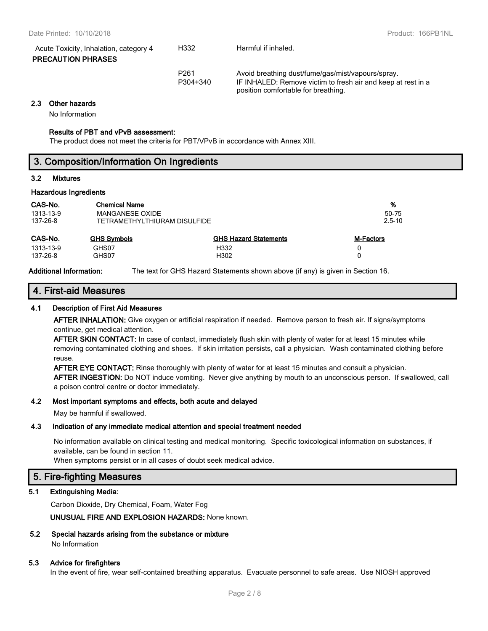| Acute Toxicity, Inhalation, category 4<br><b>PRECAUTION PHRASES</b> | H332                         | Harmful if inhaled.                                                                                               |
|---------------------------------------------------------------------|------------------------------|-------------------------------------------------------------------------------------------------------------------|
|                                                                     | P <sub>261</sub><br>P304+340 | Avoid breathing dust/fume/gas/mist/vapours/spray.<br>IF INHALED: Remove victim to fresh air and keep at rest in a |

**2.3 Other hazards**

No Information

#### **Results of PBT and vPvB assessment:**

The product does not meet the criteria for PBT/VPvB in accordance with Annex XIII.

| 3. Composition/Information On Ingredients |
|-------------------------------------------|
|                                           |

position comfortable for breathing.

#### **3.2 Mixtures**

## **Hazardous Ingredients**

| CAS-No.   | <b>Chemical Name</b>         |                              | <u>%</u>   |
|-----------|------------------------------|------------------------------|------------|
| 1313-13-9 | MANGANESE OXIDE              |                              | 50-75      |
| 137-26-8  | TETRAMETHYLTHIURAM DISULFIDE |                              | $2.5 - 10$ |
| CAS-No.   | <b>GHS Symbols</b>           | <b>GHS Hazard Statements</b> | M-Factors  |
| 1313-13-9 | GHS07                        | H332                         | 0          |
| 137-26-8  | GHS07                        | H302                         | 0          |

**Additional Information:** The text for GHS Hazard Statements shown above (if any) is given in Section 16.

# **4. First-aid Measures**

## **4.1 Description of First Aid Measures**

**AFTER INHALATION:** Give oxygen or artificial respiration if needed. Remove person to fresh air. If signs/symptoms continue, get medical attention.

**AFTER SKIN CONTACT:** In case of contact, immediately flush skin with plenty of water for at least 15 minutes while removing contaminated clothing and shoes. If skin irritation persists, call a physician. Wash contaminated clothing before reuse.

**AFTER EYE CONTACT:** Rinse thoroughly with plenty of water for at least 15 minutes and consult a physician. **AFTER INGESTION:** Do NOT induce vomiting. Never give anything by mouth to an unconscious person. If swallowed, call a poison control centre or doctor immediately.

#### **4.2 Most important symptoms and effects, both acute and delayed**

May be harmful if swallowed.

## **4.3 Indication of any immediate medical attention and special treatment needed**

No information available on clinical testing and medical monitoring. Specific toxicological information on substances, if available, can be found in section 11.

When symptoms persist or in all cases of doubt seek medical advice.

# **5. Fire-fighting Measures**

## **5.1 Extinguishing Media:**

Carbon Dioxide, Dry Chemical, Foam, Water Fog

**UNUSUAL FIRE AND EXPLOSION HAZARDS:** None known.

## **5.2 Special hazards arising from the substance or mixture**

No Information

## **5.3 Advice for firefighters**

In the event of fire, wear self-contained breathing apparatus. Evacuate personnel to safe areas. Use NIOSH approved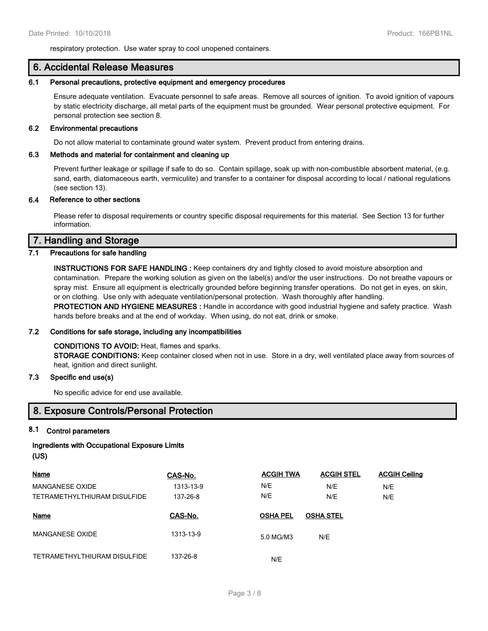respiratory protection. Use water spray to cool unopened containers.

# **6. Accidental Release Measures**

#### **6.1 Personal precautions, protective equipment and emergency procedures**

Ensure adequate ventilation. Evacuate personnel to safe areas. Remove all sources of ignition. To avoid ignition of vapours by static electricity discharge, all metal parts of the equipment must be grounded. Wear personal protective equipment. For personal protection see section 8.

#### **6.2 Environmental precautions**

Do not allow material to contaminate ground water system. Prevent product from entering drains.

## **6.3 Methods and material for containment and cleaning up**

Prevent further leakage or spillage if safe to do so. Contain spillage, soak up with non-combustible absorbent material, (e.g. sand, earth, diatomaceous earth, vermiculite) and transfer to a container for disposal according to local / national regulations (see section 13).

## **6.4 Reference to other sections**

Please refer to disposal requirements or country specific disposal requirements for this material. See Section 13 for further information.

# **7. Handling and Storage**

## **7.1 Precautions for safe handling**

**INSTRUCTIONS FOR SAFE HANDLING :** Keep containers dry and tightly closed to avoid moisture absorption and contamination. Prepare the working solution as given on the label(s) and/or the user instructions. Do not breathe vapours or spray mist. Ensure all equipment is electrically grounded before beginning transfer operations. Do not get in eyes, on skin, or on clothing. Use only with adequate ventilation/personal protection. Wash thoroughly after handling. **PROTECTION AND HYGIENE MEASURES :** Handle in accordance with good industrial hygiene and safety practice. Wash

hands before breaks and at the end of workday. When using, do not eat, drink or smoke.

## **7.2 Conditions for safe storage, including any incompatibilities**

## **CONDITIONS TO AVOID:** Heat, flames and sparks.

**STORAGE CONDITIONS:** Keep container closed when not in use. Store in a dry, well ventilated place away from sources of heat, ignition and direct sunlight.

## **7.3 Specific end use(s)**

No specific advice for end use available.

# **8. Exposure Controls/Personal Protection**

# **8.1 Control parameters**

# **Ingredients with Occupational Exposure Limits (US)**

| Name                         | CAS-No.   | <b>ACGIH TWA</b> | <b>ACGIH STEL</b> | <b>ACGIH Ceiling</b> |
|------------------------------|-----------|------------------|-------------------|----------------------|
| MANGANESE OXIDE              | 1313-13-9 | N/E              | N/E               | N/E                  |
| TETRAMETHYLTHIURAM DISULFIDE | 137-26-8  | N/E              | N/E               | N/E                  |
| Name                         | CAS-No.   | <b>OSHA PEL</b>  | <b>OSHA STEL</b>  |                      |
| <b>MANGANESE OXIDE</b>       | 1313-13-9 | 5.0 MG/M3        | N/E               |                      |
| TETRAMETHYLTHIURAM DISULFIDE | 137-26-8  | N/E              |                   |                      |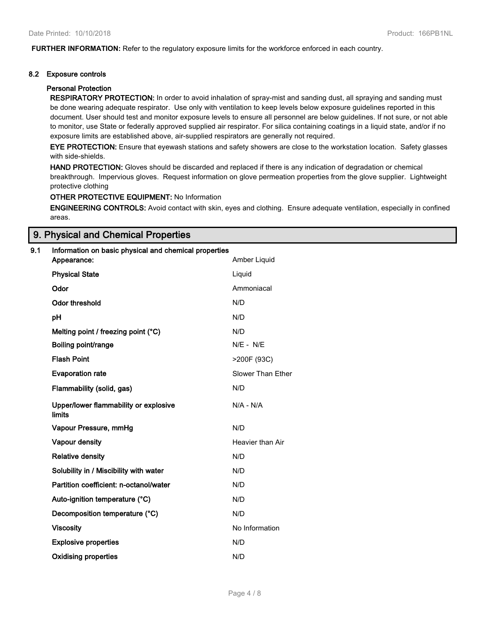**FURTHER INFORMATION:** Refer to the regulatory exposure limits for the workforce enforced in each country.

## **8.2 Exposure controls**

## **Personal Protection**

**RESPIRATORY PROTECTION:** In order to avoid inhalation of spray-mist and sanding dust, all spraying and sanding must be done wearing adequate respirator. Use only with ventilation to keep levels below exposure guidelines reported in this document. User should test and monitor exposure levels to ensure all personnel are below guidelines. If not sure, or not able to monitor, use State or federally approved supplied air respirator. For silica containing coatings in a liquid state, and/or if no exposure limits are established above, air-supplied respirators are generally not required.

**EYE PROTECTION:** Ensure that eyewash stations and safety showers are close to the workstation location. Safety glasses with side-shields.

**HAND PROTECTION:** Gloves should be discarded and replaced if there is any indication of degradation or chemical breakthrough. Impervious gloves. Request information on glove permeation properties from the glove supplier. Lightweight protective clothing

# **OTHER PROTECTIVE EQUIPMENT:** No Information

**ENGINEERING CONTROLS:** Avoid contact with skin, eyes and clothing. Ensure adequate ventilation, especially in confined areas.

# **9. Physical and Chemical Properties**

## **9.1 Information on basic physical and chemical properties**

| Appearance:                                     | Amber Liquid      |
|-------------------------------------------------|-------------------|
| <b>Physical State</b>                           | Liquid            |
| Odor                                            | Ammoniacal        |
| <b>Odor threshold</b>                           | N/D               |
| pH                                              | N/D               |
| Melting point / freezing point (°C)             | N/D               |
| Boiling point/range                             | $N/E - N/E$       |
| <b>Flash Point</b>                              | >200F (93C)       |
| <b>Evaporation rate</b>                         | Slower Than Ether |
| Flammability (solid, gas)                       | N/D               |
| Upper/lower flammability or explosive<br>limits | $N/A - N/A$       |
| Vapour Pressure, mmHg                           | N/D               |
| Vapour density                                  | Heavier than Air  |
| <b>Relative density</b>                         | N/D               |
| Solubility in / Miscibility with water          | N/D               |
| Partition coefficient: n-octanol/water          | N/D               |
| Auto-ignition temperature (°C)                  | N/D               |
| Decomposition temperature (°C)                  | N/D               |
| <b>Viscosity</b>                                | No Information    |
| <b>Explosive properties</b>                     | N/D               |
| <b>Oxidising properties</b>                     | N/D               |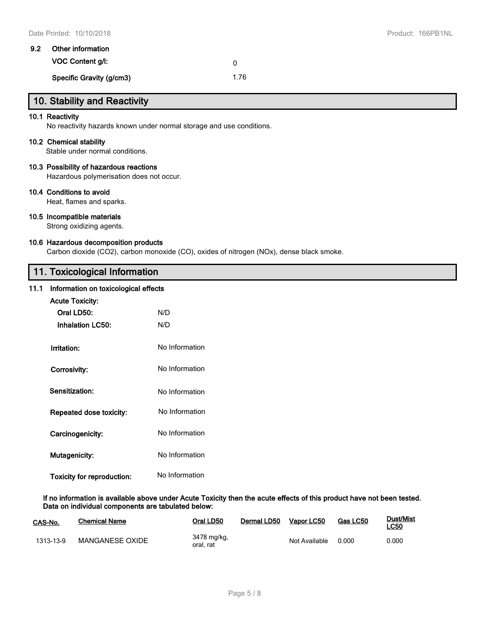| 9.2 | Other information        |      |  |  |
|-----|--------------------------|------|--|--|
|     | VOC Content a/l:         |      |  |  |
|     | Specific Gravity (g/cm3) | 1.76 |  |  |

# **10. Stability and Reactivity**

## **10.1 Reactivity**

No reactivity hazards known under normal storage and use conditions.

## **10.2 Chemical stability**

Stable under normal conditions.

## **10.3 Possibility of hazardous reactions**

Hazardous polymerisation does not occur.

## **10.4 Conditions to avoid**

Heat, flames and sparks.

## **10.5 Incompatible materials**

Strong oxidizing agents.

#### **10.6 Hazardous decomposition products**

Carbon dioxide (CO2), carbon monoxide (CO), oxides of nitrogen (NOx), dense black smoke.

# **11. Toxicological Information**

# **11.1 Information on toxicological effects**

| <b>Acute Toxicity:</b>     |                |  |  |  |
|----------------------------|----------------|--|--|--|
| Oral LD50:                 | N/D            |  |  |  |
| <b>Inhalation LC50:</b>    | N/D            |  |  |  |
| Irritation:                | No Information |  |  |  |
| Corrosivity:               | No Information |  |  |  |
| Sensitization:             | No Information |  |  |  |
| Repeated dose toxicity:    | No Information |  |  |  |
| Carcinogenicity:           | No Information |  |  |  |
| Mutagenicity:              | No Information |  |  |  |
| Toxicity for reproduction: | No Information |  |  |  |

**If no information is available above under Acute Toxicity then the acute effects of this product have not been tested. Data on individual components are tabulated below:**

| CAS-No.   | <b>Chemical Name</b> | Oral LD50                | Dermal LD50 | Vapor LC50    | Gas LC50 | Dust/Mist<br><u>LC50</u> |
|-----------|----------------------|--------------------------|-------------|---------------|----------|--------------------------|
| 1313-13-9 | MANGANESE OXIDE      | 3478 mg/kg,<br>oral, rat |             | Not Available | 0.000    | 0.000                    |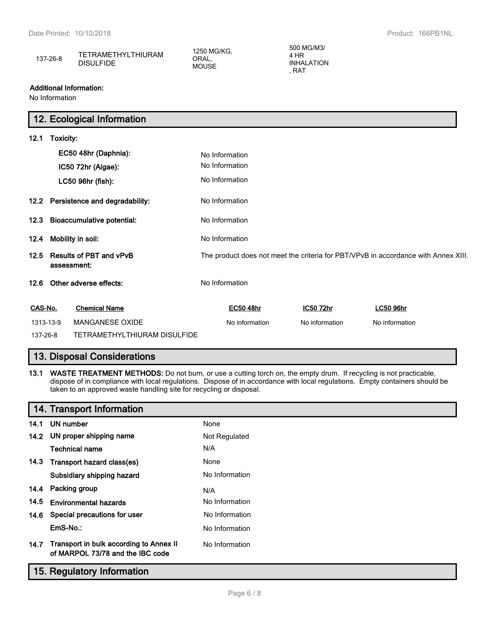| 137-26-8 | <b>TETRAMETHYLTHIURAM</b><br><b>DISULFIDE</b> | 1250 MG/KG.<br>ORAL.<br><b>MOUSE</b> | 500 MG/M3/<br>HR<br><b>INHALATION</b><br>RA1 |  |
|----------|-----------------------------------------------|--------------------------------------|----------------------------------------------|--|
|----------|-----------------------------------------------|--------------------------------------|----------------------------------------------|--|

## **Additional Information:**

No Information

|          |                                        | 12. Ecological Information          |                                                                                    |                |                  |  |
|----------|----------------------------------------|-------------------------------------|------------------------------------------------------------------------------------|----------------|------------------|--|
| 12.1     | Toxicity:                              |                                     |                                                                                    |                |                  |  |
|          |                                        | EC50 48hr (Daphnia):                | No Information                                                                     |                |                  |  |
|          |                                        | IC50 72hr (Algae):                  | No Information                                                                     |                |                  |  |
|          |                                        | LC50 96hr (fish):                   | No Information                                                                     |                |                  |  |
|          |                                        | 12.2 Persistence and degradability: | No Information                                                                     |                |                  |  |
|          |                                        | 12.3 Bioaccumulative potential:     | No Information                                                                     |                |                  |  |
| 12.4     |                                        | Mobility in soil:                   | No Information                                                                     |                |                  |  |
| 12.5     | Results of PBT and vPvB<br>assessment: |                                     | The product does not meet the criteria for PBT/VPvB in accordance with Annex XIII. |                |                  |  |
| 12.6     |                                        | Other adverse effects:              | No Information                                                                     |                |                  |  |
| CAS-No.  |                                        | <b>Chemical Name</b>                | <b>EC50 48hr</b>                                                                   | IC50 72hr      | <b>LC50 96hr</b> |  |
|          | 1313-13-9                              | <b>MANGANESE OXIDE</b>              | No information                                                                     | No information | No information   |  |
| 137-26-8 |                                        | TETRAMETHYLTHIURAM DISULFIDE        |                                                                                    |                |                  |  |

# **13. Disposal Considerations**

**13.1 WASTE TREATMENT METHODS:** Do not burn, or use a cutting torch on, the empty drum. If recycling is not practicable, dispose of in compliance with local regulations. Dispose of in accordance with local regulations. Empty containers should be taken to an approved waste handling site for recycling or disposal.

|      | 14. Transport Information                                                   |                |
|------|-----------------------------------------------------------------------------|----------------|
| 14.1 | UN number                                                                   | None           |
|      | 14.2 UN proper shipping name                                                | Not Regulated  |
|      | Technical name                                                              | N/A            |
|      | 14.3 Transport hazard class(es)                                             | None           |
|      | Subsidiary shipping hazard                                                  | No Information |
|      | 14.4 Packing group                                                          | N/A            |
| 14.5 | <b>Environmental hazards</b>                                                | No Information |
|      | 14.6 Special precautions for user                                           | No Information |
|      | EmS-No.:                                                                    | No Information |
| 14.7 | Transport in bulk according to Annex II<br>of MARPOL 73/78 and the IBC code | No Information |

# **15. Regulatory Information**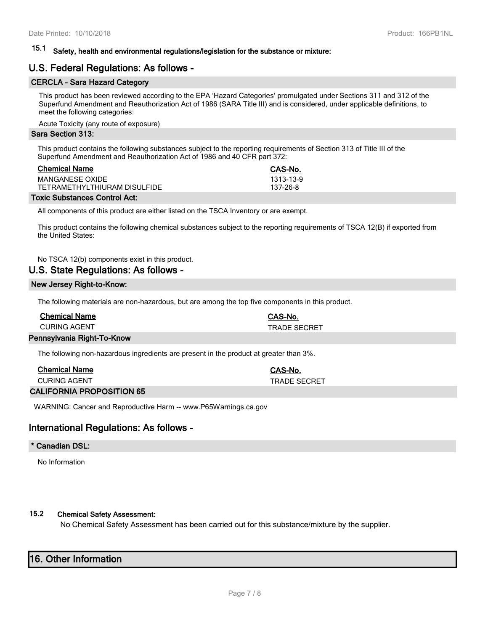# **15.1 Safety, health and environmental regulations/legislation for the substance or mixture:**

# **U.S. Federal Regulations: As follows -**

# **CERCLA - Sara Hazard Category**

This product has been reviewed according to the EPA 'Hazard Categories' promulgated under Sections 311 and 312 of the Superfund Amendment and Reauthorization Act of 1986 (SARA Title III) and is considered, under applicable definitions, to meet the following categories:

Acute Toxicity (any route of exposure)

#### **Sara Section 313:**

This product contains the following substances subject to the reporting requirements of Section 313 of Title III of the Superfund Amendment and Reauthorization Act of 1986 and 40 CFR part 372:

| <b>Chemical Name</b>         | CAS-No.   |
|------------------------------|-----------|
| MANGANESE OXIDE              | 1313-13-9 |
| TETRAMETHYLTHIURAM DISULFIDE | 137-26-8  |

#### **Toxic Substances Control Act:**

All components of this product are either listed on the TSCA Inventory or are exempt.

This product contains the following chemical substances subject to the reporting requirements of TSCA 12(B) if exported from the United States:

No TSCA 12(b) components exist in this product.

# **U.S. State Regulations: As follows -**

#### **New Jersey Right-to-Know:**

The following materials are non-hazardous, but are among the top five components in this product.

| <b>Chemical Name</b>       | CAS-No.             |
|----------------------------|---------------------|
| CURING AGENT               | <b>TRADE SECRET</b> |
| Pennsylvania Right-To-Know |                     |

The following non-hazardous ingredients are present in the product at greater than 3%.

| <b>Chemical Name</b> | <b>CAS-No.</b> |
|----------------------|----------------|
| <b>CURING AGENT</b>  | TRADE SECRET   |
|                      |                |

#### **CALIFORNIA PROPOSITION 65**

WARNING: Cancer and Reproductive Harm -- www.P65Warnings.ca.gov

# **International Regulations: As follows -**

#### **\* Canadian DSL:**

No Information

## **15.2 Chemical Safety Assessment:**

No Chemical Safety Assessment has been carried out for this substance/mixture by the supplier.

# **16. Other Information**